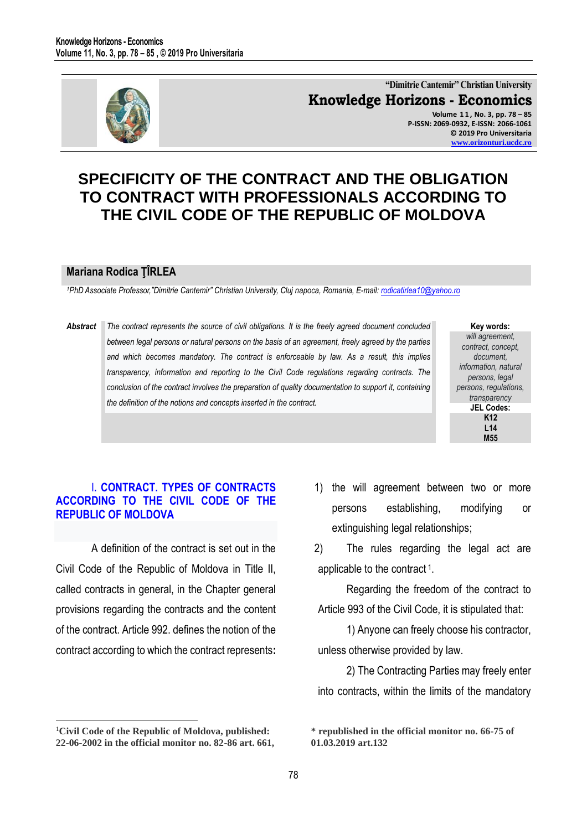

**"Dimitrie Cantemir" Christian University Knowledge Horizons - Economics Volume 1 1 , No. 3, pp. 78 – 85 P-ISSN: 2069-0932, E-ISSN: 2066-1061 © 2019 Pro Universitaria [www.orizonturi.ucdc.ro](http://www.orizonturi.ucdc.ro/)**

# **SPECIFICITY OF THE CONTRACT AND THE OBLIGATION TO CONTRACT WITH PROFESSIONALS ACCORDING TO THE CIVIL CODE OF THE REPUBLIC OF MOLDOVA**

#### **Mariana Rodica ŢÎRLEA**

*<sup>1</sup>PhD Associate Professor,"Dimitrie Cantemir" Christian University, Cluj napoca, Romania, E-mail: rodicatirlea10@yahoo.ro*

*Abstract The contract represents the source of civil obligations. It is the freely agreed document concluded between legal persons or natural persons on the basis of an agreement, freely agreed by the parties and which becomes mandatory. The contract is enforceable by law. As a result, this implies transparency, information and reporting to the Civil Code regulations regarding contracts. The conclusion of the contract involves the preparation of quality documentation to support it, containing the definition of the notions and concepts inserted in the contract.*

**Key words:** *will agreement, contract, concept, document, information, natural persons, legal persons, regulations, transparency* **JEL Codes: K12 L14 M55**

# I**. CONTRACT. TYPES OF CONTRACTS ACCORDING TO THE CIVIL CODE OF THE REPUBLIC OF MOLDOVA**

A definition of the contract is set out in the Civil Code of the Republic of Moldova in Title II, called contracts in general, in the Chapter general provisions regarding the contracts and the content of the contract. Article 992. defines the notion of the contract according to which the contract represents**:** 1) the will agreement between two or more persons establishing, modifying or extinguishing legal relationships;

2) The rules regarding the legal act are applicable to the contract <sup>1</sup>.

Regarding the freedom of the contract to Article 993 of the Civil Code, it is stipulated that:

1) Anyone can freely choose his contractor, unless otherwise provided by law.

2) The Contracting Parties may freely enter into contracts, within the limits of the mandatory

 $\overline{a}$ 

<sup>1</sup>**Civil Code of the Republic of Moldova, published: 22-06-2002 in the official monitor no. 82-86 art. 661,** 

**<sup>\*</sup> republished in the official monitor no. 66-75 of 01.03.2019 art.132**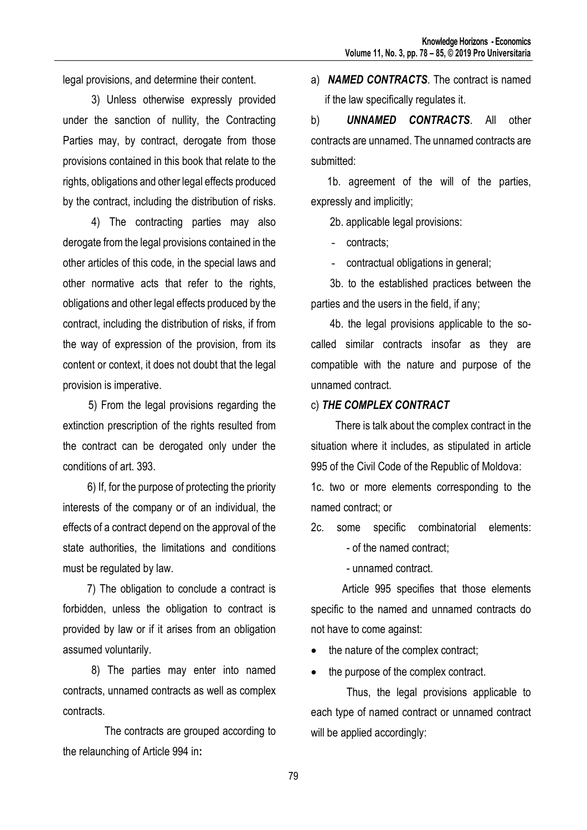legal provisions, and determine their content.

3) Unless otherwise expressly provided under the sanction of nullity, the Contracting Parties may, by contract, derogate from those provisions contained in this book that relate to the rights, obligations and other legal effects produced by the contract, including the distribution of risks.

4) The contracting parties may also derogate from the legal provisions contained in the other articles of this code, in the special laws and other normative acts that refer to the rights, obligations and other legal effects produced by the contract, including the distribution of risks, if from the way of expression of the provision, from its content or context, it does not doubt that the legal provision is imperative.

 5) From the legal provisions regarding the extinction prescription of the rights resulted from the contract can be derogated only under the conditions of art. 393.

 6) If, for the purpose of protecting the priority interests of the company or of an individual, the effects of a contract depend on the approval of the state authorities, the limitations and conditions must be regulated by law.

 7) The obligation to conclude a contract is forbidden, unless the obligation to contract is provided by law or if it arises from an obligation assumed voluntarily.

 8) The parties may enter into named contracts, unnamed contracts as well as complex contracts.

 The contracts are grouped according to the relaunching of Article 994 in**:**

a) *NAMED CONTRACTS*. The contract is named if the law specifically regulates it.

b) *UNNAMED CONTRACTS*. All other contracts are unnamed. The unnamed contracts are submitted:

 1b. agreement of the will of the parties, expressly and implicitly;

2b. applicable legal provisions:

- contracts;

contractual obligations in general;

 3b. to the established practices between the parties and the users in the field, if any;

 4b. the legal provisions applicable to the socalled similar contracts insofar as they are compatible with the nature and purpose of the unnamed contract.

## c) *THE COMPLEX CONTRACT*

 There is talk about the complex contract in the situation where it includes, as stipulated in article 995 of the Civil Code of the Republic of Moldova:

1c. two or more elements corresponding to the named contract; or

2c. some specific combinatorial elements:

- of the named contract;

- unnamed contract.

 Article 995 specifies that those elements specific to the named and unnamed contracts do not have to come against:

the nature of the complex contract;

the purpose of the complex contract.

 Thus, the legal provisions applicable to each type of named contract or unnamed contract will be applied accordingly: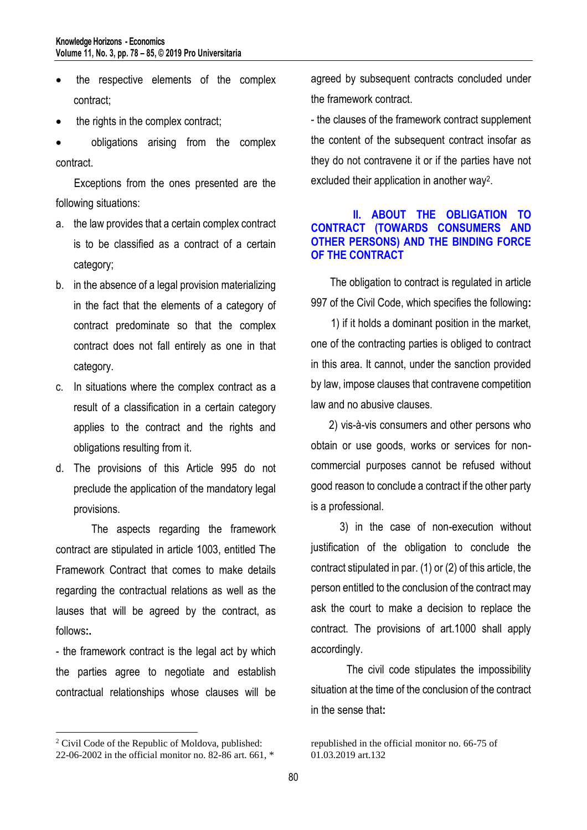- the respective elements of the complex contract;
- the rights in the complex contract;

 obligations arising from the complex contract.

 Exceptions from the ones presented are the following situations:

- a. the law provides that a certain complex contract is to be classified as a contract of a certain category;
- b. in the absence of a legal provision materializing in the fact that the elements of a category of contract predominate so that the complex contract does not fall entirely as one in that category.
- c. In situations where the complex contract as a result of a classification in a certain category applies to the contract and the rights and obligations resulting from it.
- d. The provisions of this Article 995 do not preclude the application of the mandatory legal provisions.

The aspects regarding the framework contract are stipulated in article 1003, entitled The Framework Contract that comes to make details regarding the contractual relations as well as the lauses that will be agreed by the contract, as follows**:.**

- the framework contract is the legal act by which the parties agree to negotiate and establish contractual relationships whose clauses will be

 $\overline{a}$ 

agreed by subsequent contracts concluded under the framework contract.

- the clauses of the framework contract supplement the content of the subsequent contract insofar as they do not contravene it or if the parties have not excluded their application in another way<sup>2</sup>.

# **II. ABOUT THE OBLIGATION TO CONTRACT (TOWARDS CONSUMERS AND OTHER PERSONS) AND THE BINDING FORCE OF THE CONTRACT**

 The obligation to contract is regulated in article 997 of the Civil Code, which specifies the following**:**

 1) if it holds a dominant position in the market, one of the contracting parties is obliged to contract in this area. It cannot, under the sanction provided by law, impose clauses that contravene competition law and no abusive clauses.

 2) vis-à-vis consumers and other persons who obtain or use goods, works or services for noncommercial purposes cannot be refused without good reason to conclude a contract if the other party is a professional.

 3) in the case of non-execution without justification of the obligation to conclude the contract stipulated in par. (1) or (2) of this article, the person entitled to the conclusion of the contract may ask the court to make a decision to replace the contract. The provisions of art.1000 shall apply accordingly.

 The civil code stipulates the impossibility situation at the time of the conclusion of the contract in the sense that**:**

<sup>2</sup> Civil Code of the Republic of Moldova, published: 22-06-2002 in the official monitor no. 82-86 art. 661, \*

republished in the official monitor no. 66-75 of 01.03.2019 art.132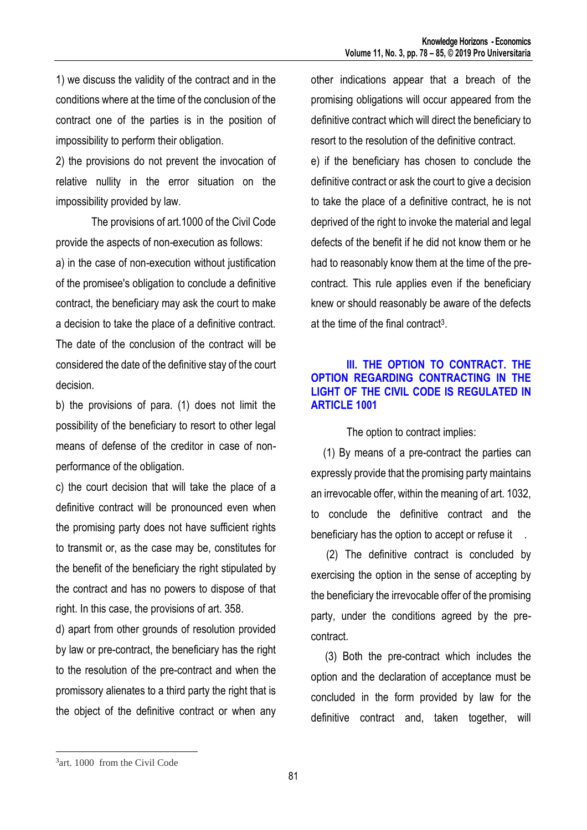1) we discuss the validity of the contract and in the conditions where at the time of the conclusion of the contract one of the parties is in the position of impossibility to perform their obligation.

2) the provisions do not prevent the invocation of relative nullity in the error situation on the impossibility provided by law.

The provisions of art.1000 of the Civil Code provide the aspects of non-execution as follows:

a) in the case of non-execution without justification of the promisee's obligation to conclude a definitive contract, the beneficiary may ask the court to make a decision to take the place of a definitive contract. The date of the conclusion of the contract will be considered the date of the definitive stay of the court decision.

b) the provisions of para. (1) does not limit the possibility of the beneficiary to resort to other legal means of defense of the creditor in case of nonperformance of the obligation.

c) the court decision that will take the place of a definitive contract will be pronounced even when the promising party does not have sufficient rights to transmit or, as the case may be, constitutes for the benefit of the beneficiary the right stipulated by the contract and has no powers to dispose of that right. In this case, the provisions of art. 358.

d) apart from other grounds of resolution provided by law or pre-contract, the beneficiary has the right to the resolution of the pre-contract and when the promissory alienates to a third party the right that is the object of the definitive contract or when any other indications appear that a breach of the promising obligations will occur appeared from the definitive contract which will direct the beneficiary to resort to the resolution of the definitive contract.

e) if the beneficiary has chosen to conclude the definitive contract or ask the court to give a decision to take the place of a definitive contract, he is not deprived of the right to invoke the material and legal defects of the benefit if he did not know them or he had to reasonably know them at the time of the precontract. This rule applies even if the beneficiary knew or should reasonably be aware of the defects at the time of the final contract<sup>3</sup>.

# **III. THE OPTION TO CONTRACT. THE OPTION REGARDING CONTRACTING IN THE LIGHT OF THE CIVIL CODE IS REGULATED IN ARTICLE 1001**

The option to contract implies:

 (1) By means of a pre-contract the parties can expressly provide that the promising party maintains an irrevocable offer, within the meaning of art. 1032, to conclude the definitive contract and the beneficiary has the option to accept or refuse it

 (2) The definitive contract is concluded by exercising the option in the sense of accepting by the beneficiary the irrevocable offer of the promising party, under the conditions agreed by the precontract.

 (3) Both the pre-contract which includes the option and the declaration of acceptance must be concluded in the form provided by law for the definitive contract and, taken together, will

 $\overline{a}$ 

<sup>&</sup>lt;sup>3</sup>art. 1000 from the Civil Code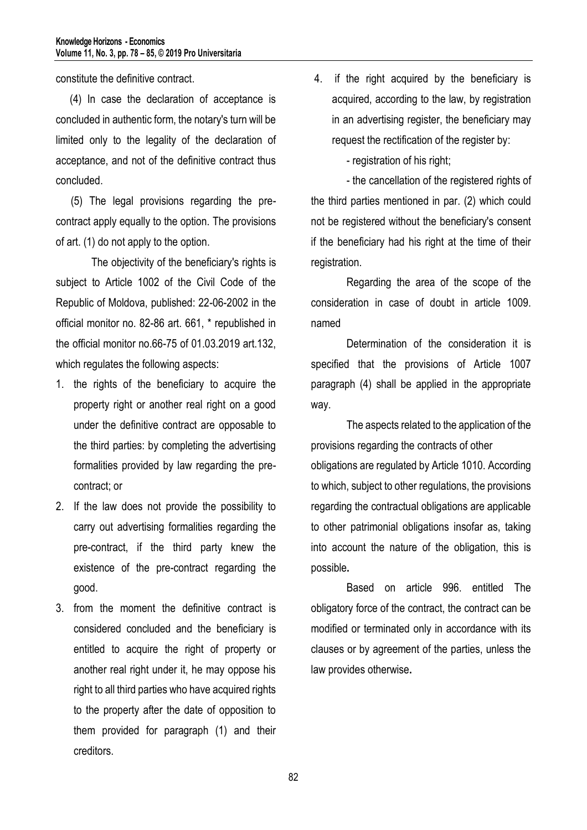constitute the definitive contract.

 (4) In case the declaration of acceptance is concluded in authentic form, the notary's turn will be limited only to the legality of the declaration of acceptance, and not of the definitive contract thus concluded.

 (5) The legal provisions regarding the precontract apply equally to the option. The provisions of art. (1) do not apply to the option.

The objectivity of the beneficiary's rights is subject to Article 1002 of the Civil Code of the Republic of Moldova, published: 22-06-2002 in the official monitor no. 82-86 art. 661, \* republished in the official monitor no.66-75 of 01.03.2019 art.132, which regulates the following aspects:

- 1. the rights of the beneficiary to acquire the property right or another real right on a good under the definitive contract are opposable to the third parties: by completing the advertising formalities provided by law regarding the precontract; or
- 2. If the law does not provide the possibility to carry out advertising formalities regarding the pre-contract, if the third party knew the existence of the pre-contract regarding the good.
- 3. from the moment the definitive contract is considered concluded and the beneficiary is entitled to acquire the right of property or another real right under it, he may oppose his right to all third parties who have acquired rights to the property after the date of opposition to them provided for paragraph (1) and their creditors.

4. if the right acquired by the beneficiary is acquired, according to the law, by registration in an advertising register, the beneficiary may request the rectification of the register by:

- registration of his right;

 - the cancellation of the registered rights of the third parties mentioned in par. (2) which could not be registered without the beneficiary's consent if the beneficiary had his right at the time of their registration.

 Regarding the area of the scope of the consideration in case of doubt in article 1009. named

 Determination of the consideration it is specified that the provisions of Article 1007 paragraph (4) shall be applied in the appropriate way.

The aspects related to the application of the provisions regarding the contracts of other obligations are regulated by Article 1010. According to which, subject to other regulations, the provisions regarding the contractual obligations are applicable to other patrimonial obligations insofar as, taking into account the nature of the obligation, this is possible**.**

Based on article 996. entitled The obligatory force of the contract, the contract can be modified or terminated only in accordance with its clauses or by agreement of the parties, unless the law provides otherwise**.**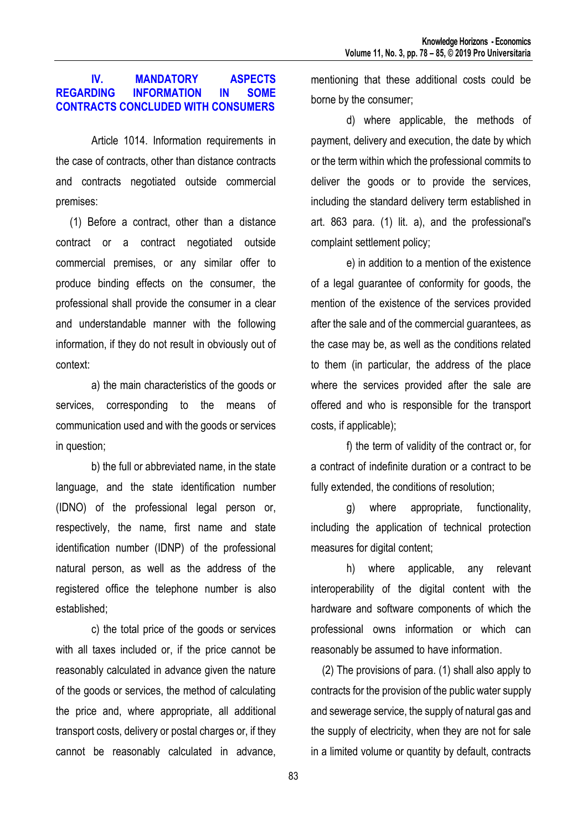# **IV. MANDATORY ASPECTS INFORMATION IN SOME CONTRACTS CONCLUDED WITH CONSUMERS**

Article 1014. Information requirements in the case of contracts, other than distance contracts and contracts negotiated outside commercial premises:

 (1) Before a contract, other than a distance contract or a contract negotiated outside commercial premises, or any similar offer to produce binding effects on the consumer, the professional shall provide the consumer in a clear and understandable manner with the following information, if they do not result in obviously out of context:

 a) the main characteristics of the goods or services, corresponding to the means of communication used and with the goods or services in question;

 b) the full or abbreviated name, in the state language, and the state identification number (IDNO) of the professional legal person or, respectively, the name, first name and state identification number (IDNP) of the professional natural person, as well as the address of the registered office the telephone number is also established;

 c) the total price of the goods or services with all taxes included or, if the price cannot be reasonably calculated in advance given the nature of the goods or services, the method of calculating the price and, where appropriate, all additional transport costs, delivery or postal charges or, if they cannot be reasonably calculated in advance,

mentioning that these additional costs could be borne by the consumer;

 d) where applicable, the methods of payment, delivery and execution, the date by which or the term within which the professional commits to deliver the goods or to provide the services, including the standard delivery term established in art. 863 para. (1) lit. a), and the professional's complaint settlement policy;

 e) in addition to a mention of the existence of a legal guarantee of conformity for goods, the mention of the existence of the services provided after the sale and of the commercial guarantees, as the case may be, as well as the conditions related to them (in particular, the address of the place where the services provided after the sale are offered and who is responsible for the transport costs, if applicable);

f) the term of validity of the contract or, for a contract of indefinite duration or a contract to be fully extended, the conditions of resolution;

 g) where appropriate, functionality, including the application of technical protection measures for digital content;

 h) where applicable, any relevant interoperability of the digital content with the hardware and software components of which the professional owns information or which can reasonably be assumed to have information.

 (2) The provisions of para. (1) shall also apply to contracts for the provision of the public water supply and sewerage service, the supply of natural gas and the supply of electricity, when they are not for sale in a limited volume or quantity by default, contracts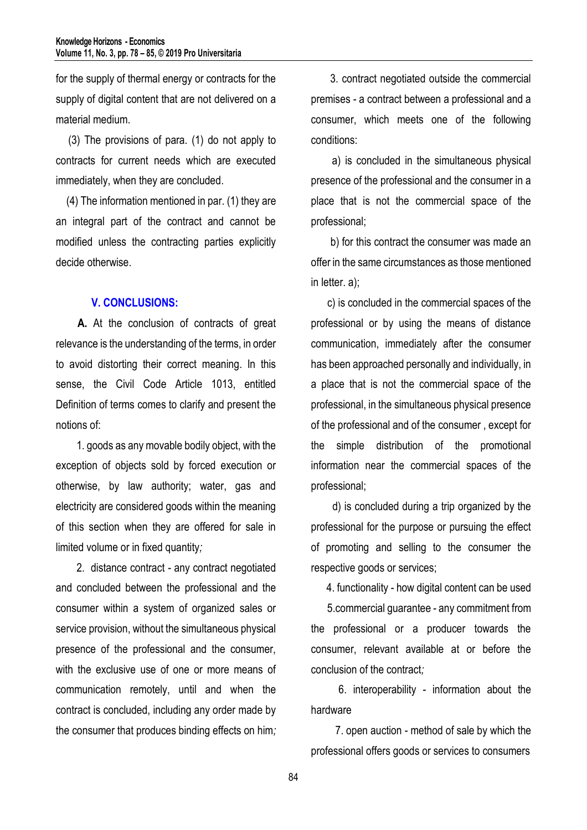for the supply of thermal energy or contracts for the supply of digital content that are not delivered on a material medium.

 (3) The provisions of para. (1) do not apply to contracts for current needs which are executed immediately, when they are concluded.

 (4) The information mentioned in par. (1) they are an integral part of the contract and cannot be modified unless the contracting parties explicitly decide otherwise.

# **V. CONCLUSIONS:**

 **A.** At the conclusion of contracts of great relevance is the understanding of the terms, in order to avoid distorting their correct meaning. In this sense, the Civil Code Article 1013, entitled Definition of terms comes to clarify and present the notions of:

1. goods as any movable bodily object, with the exception of objects sold by forced execution or otherwise, by law authority; water, gas and electricity are considered goods within the meaning of this section when they are offered for sale in limited volume or in fixed quantity*;*

 2. distance contract - any contract negotiated and concluded between the professional and the consumer within a system of organized sales or service provision, without the simultaneous physical presence of the professional and the consumer, with the exclusive use of one or more means of communication remotely, until and when the contract is concluded, including any order made by the consumer that produces binding effects on him*;*

 3. contract negotiated outside the commercial premises - a contract between a professional and a consumer, which meets one of the following conditions:

 a) is concluded in the simultaneous physical presence of the professional and the consumer in a place that is not the commercial space of the professional;

 b) for this contract the consumer was made an offer in the same circumstances as those mentioned in letter. a);

 c) is concluded in the commercial spaces of the professional or by using the means of distance communication, immediately after the consumer has been approached personally and individually, in a place that is not the commercial space of the professional, in the simultaneous physical presence of the professional and of the consumer , except for the simple distribution of the promotional information near the commercial spaces of the professional;

 d) is concluded during a trip organized by the professional for the purpose or pursuing the effect of promoting and selling to the consumer the respective goods or services;

4. functionality - how digital content can be used

 5.commercial guarantee - any commitment from the professional or a producer towards the consumer, relevant available at or before the conclusion of the contract*;*

 6. interoperability - information about the hardware

 7. open auction - method of sale by which the professional offers goods or services to consumers